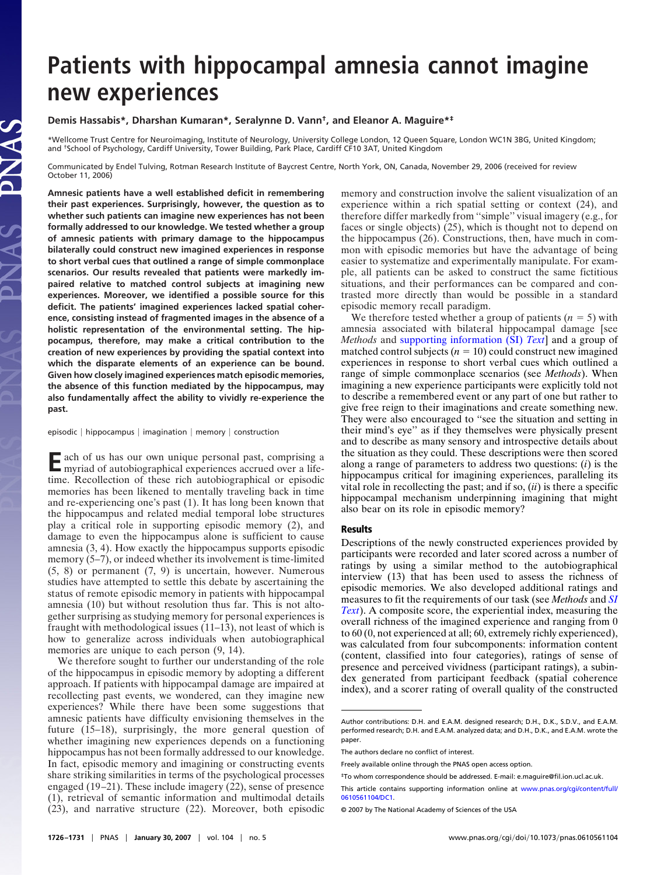# **Patients with hippocampal amnesia cannot imagine new experiences**

# **Demis Hassabis\*, Dharshan Kumaran\*, Seralynne D. Vann†, and Eleanor A. Maguire\*‡**

\*Wellcome Trust Centre for Neuroimaging, Institute of Neurology, University College London, 12 Queen Square, London WC1N 3BG, United Kingdom; and †School of Psychology, Cardiff University, Tower Building, Park Place, Cardiff CF10 3AT, United Kingdom

Communicated by Endel Tulving, Rotman Research Institute of Baycrest Centre, North York, ON, Canada, November 29, 2006 (received for review October 11, 2006)

**Amnesic patients have a well established deficit in remembering their past experiences. Surprisingly, however, the question as to whether such patients can imagine new experiences has not been formally addressed to our knowledge. We tested whether a group of amnesic patients with primary damage to the hippocampus bilaterally could construct new imagined experiences in response to short verbal cues that outlined a range of simple commonplace scenarios. Our results revealed that patients were markedly impaired relative to matched control subjects at imagining new experiences. Moreover, we identified a possible source for this deficit. The patients' imagined experiences lacked spatial coherence, consisting instead of fragmented images in the absence of a holistic representation of the environmental setting. The hippocampus, therefore, may make a critical contribution to the creation of new experiences by providing the spatial context into which the disparate elements of an experience can be bound. Given how closely imagined experiences match episodic memories, the absence of this function mediated by the hippocampus, may also fundamentally affect the ability to vividly re-experience the past.**

episodic | hippocampus | imagination | memory | construction

**E**ach of us has our own unique personal past, comprising a myriad of autobiographical experiences accrued over a lifetime. Recollection of these rich autobiographical or episodic memories has been likened to mentally traveling back in time and re-experiencing one's past (1). It has long been known that the hippocampus and related medial temporal lobe structures play a critical role in supporting episodic memory (2), and damage to even the hippocampus alone is sufficient to cause amnesia (3, 4). How exactly the hippocampus supports episodic memory (5–7), or indeed whether its involvement is time-limited (5, 8) or permanent (7, 9) is uncertain, however. Numerous studies have attempted to settle this debate by ascertaining the status of remote episodic memory in patients with hippocampal amnesia (10) but without resolution thus far. This is not altogether surprising as studying memory for personal experiences is fraught with methodological issues (11–13), not least of which is how to generalize across individuals when autobiographical memories are unique to each person  $(9, 14)$ .

We therefore sought to further our understanding of the role of the hippocampus in episodic memory by adopting a different approach. If patients with hippocampal damage are impaired at recollecting past events, we wondered, can they imagine new experiences? While there have been some suggestions that amnesic patients have difficulty envisioning themselves in the future (15–18), surprisingly, the more general question of whether imagining new experiences depends on a functioning hippocampus has not been formally addressed to our knowledge. In fact, episodic memory and imagining or constructing events share striking similarities in terms of the psychological processes engaged (19–21). These include imagery (22), sense of presence (1), retrieval of semantic information and multimodal details (23), and narrative structure (22). Moreover, both episodic

memory and construction involve the salient visualization of an experience within a rich spatial setting or context (24), and therefore differ markedly from ''simple'' visual imagery (e.g., for faces or single objects) (25), which is thought not to depend on the hippocampus (26). Constructions, then, have much in common with episodic memories but have the advantage of being easier to systematize and experimentally manipulate. For example, all patients can be asked to construct the same fictitious situations, and their performances can be compared and contrasted more directly than would be possible in a standard episodic memory recall paradigm.

We therefore tested whether a group of patients  $(n = 5)$  with amnesia associated with bilateral hippocampal damage [see *Methods* and [supporting information \(SI\)](http://www.pnas.org/cgi/content/full/0610561104/DC1) *Text*] and a group of matched control subjects  $(n = 10)$  could construct new imagined experiences in response to short verbal cues which outlined a range of simple commonplace scenarios (see *Methods*). When imagining a new experience participants were explicitly told not to describe a remembered event or any part of one but rather to give free reign to their imaginations and create something new. They were also encouraged to ''see the situation and setting in their mind's eye'' as if they themselves were physically present and to describe as many sensory and introspective details about the situation as they could. These descriptions were then scored along a range of parameters to address two questions: (*i*) is the hippocampus critical for imagining experiences, paralleling its vital role in recollecting the past; and if so, (*ii*) is there a specific hippocampal mechanism underpinning imagining that might also bear on its role in episodic memory?

## **Results**

Descriptions of the newly constructed experiences provided by participants were recorded and later scored across a number of ratings by using a similar method to the autobiographical interview (13) that has been used to assess the richness of episodic memories. We also developed additional ratings and measures to fit the requirements of our task (see *Methods* and *[SI](http://www.pnas.org/cgi/content/full/0610561104/DC1) [Text](http://www.pnas.org/cgi/content/full/0610561104/DC1)*). A composite score, the experiential index, measuring the overall richness of the imagined experience and ranging from 0 to 60 (0, not experienced at all; 60, extremely richly experienced), was calculated from four subcomponents: information content (content, classified into four categories), ratings of sense of presence and perceived vividness (participant ratings), a subindex generated from participant feedback (spatial coherence index), and a scorer rating of overall quality of the constructed

Author contributions: D.H. and E.A.M. designed research; D.H., D.K., S.D.V., and E.A.M. performed research; D.H. and E.A.M. analyzed data; and D.H., D.K., and E.A.M. wrote the paper

The authors declare no conflict of interest.

Freely available online through the PNAS open access option.

<sup>‡</sup>To whom correspondence should be addressed. E-mail: e.maguire@fil.ion.ucl.ac.uk.

This article contains supporting information online at [www.pnas.org/cgi/content/full/](http://www.pnas.org/cgi/content/full/0610561104/DC1) [0610561104/DC1.](http://www.pnas.org/cgi/content/full/0610561104/DC1)

<sup>© 2007</sup> by The National Academy of Sciences of the USA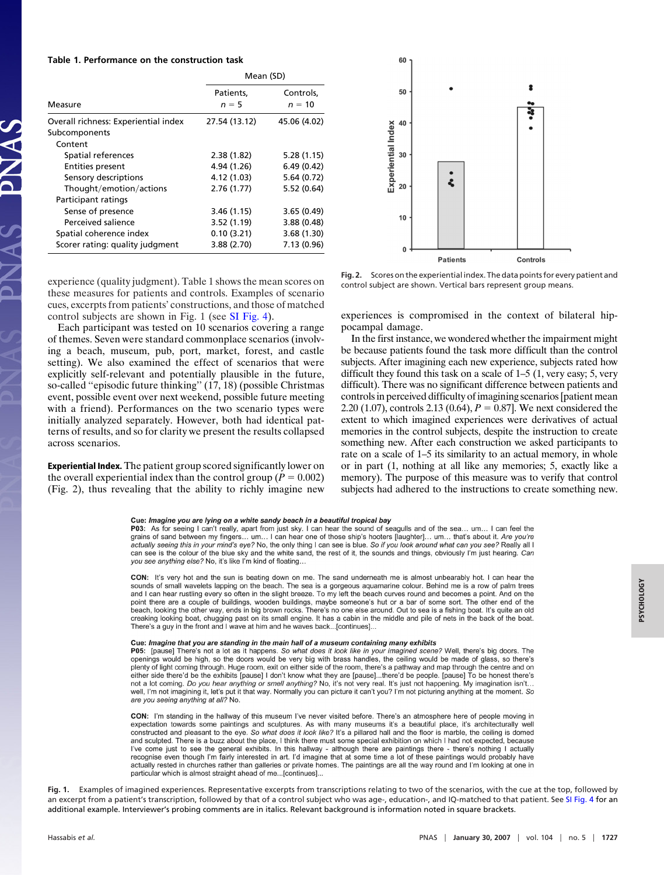## **Table 1. Performance on the construction task**

| Measure                                               | Mean (SD)            |                       |
|-------------------------------------------------------|----------------------|-----------------------|
|                                                       | Patients.<br>$n = 5$ | Controls.<br>$n = 10$ |
| Overall richness: Experiential index<br>Subcomponents | 27.54 (13.12)        | 45.06 (4.02)          |
| Content                                               |                      |                       |
| Spatial references                                    | 2.38(1.82)           | 5.28(1.15)            |
| <b>Entities present</b>                               | 4.94 (1.26)          | 6.49(0.42)            |
| Sensory descriptions                                  | 4.12 (1.03)          | 5.64(0.72)            |
| Thought/emotion/actions<br>Participant ratings        | 2.76(1.77)           | 5.52(0.64)            |
| Sense of presence                                     | 3.46 (1.15)          | 3.65(0.49)            |
| Perceived salience                                    | 3.52(1.19)           | 3.88(0.48)            |
| Spatial coherence index                               | 0.10(3.21)           | 3.68(1.30)            |
| Scorer rating: quality judgment                       | 3.88 (2.70)          | 7.13(0.96)            |

experience (quality judgment). Table 1 shows the mean scores on these measures for patients and controls. Examples of scenario cues, excerpts from patients' constructions, and those of matched control subjects are shown in Fig. 1 (see [SI Fig. 4\)](http://www.pnas.org/cgi/content/full/0610561104/DC1).

Each participant was tested on 10 scenarios covering a range of themes. Seven were standard commonplace scenarios (involving a beach, museum, pub, port, market, forest, and castle setting). We also examined the effect of scenarios that were explicitly self-relevant and potentially plausible in the future, so-called ''episodic future thinking'' (17, 18) (possible Christmas event, possible event over next weekend, possible future meeting with a friend). Performances on the two scenario types were initially analyzed separately. However, both had identical patterns of results, and so for clarity we present the results collapsed across scenarios.

**Experiential Index.** The patient group scored significantly lower on the overall experiential index than the control group ( $P = 0.002$ ) (Fig. 2), thus revealing that the ability to richly imagine new



**Fig. 2.** Scores on the experiential index. The data points for every patient and control subject are shown. Vertical bars represent group means.

experiences is compromised in the context of bilateral hippocampal damage.

In the first instance, we wondered whether the impairment might be because patients found the task more difficult than the control subjects. After imagining each new experience, subjects rated how difficult they found this task on a scale of 1–5 (1, very easy; 5, very difficult). There was no significant difference between patients and controls in perceived difficulty of imagining scenarios [patient mean 2.20 (1.07), controls 2.13 (0.64),  $P = 0.87$ ]. We next considered the extent to which imagined experiences were derivatives of actual memories in the control subjects, despite the instruction to create something new. After each construction we asked participants to rate on a scale of 1–5 its similarity to an actual memory, in whole or in part (1, nothing at all like any memories; 5, exactly like a memory). The purpose of this measure was to verify that control subjects had adhered to the instructions to create something new.

#### Cue: Imagine you are lying on a white sandy beach in a beautiful tropical bay

P03: As for seeing I can't really, apart from just sky. I can hear the sound of seagulls and of the sea... um... I can feel the grains of sand between my fingers... um... I can hear one of those ship's hooters [laughter]... um... that's about it. Are you're actually seeing this in your mind's eye? No, the only thing I can see is blue. So if you look around what can you see? Really all I can see is the colour of the blue sky and the white sand, the rest of it, the sounds and things, obviously I'm just hearing. Can vou see anything else? No. it's like I'm kind of floating...

CON: It's very hot and the sun is beating down on me. The sand underneath me is almost unbearably hot. I can hear the sounds of small wavelets lapping on the beach. The sea is a gorgeous aquamarine colour. Behind me is a row of palm trees and I can hear rustling every so often in the slight breeze. To my left the beach curves round and becomes a point. And on the point there are a couple of buildings, wooden buildings, maybe someone's hut or a bar of some sort. The other end of the .<br>beach, looking the other way, ends in big brown rocks. There's no one else around. Out to sea is a fishing boat. It's quite an old creaking looking boat, chugging past on its small engine. It has a cabin in the middle and pile of nets in the back of the boat. There's a guy in the front and I wave at him and he waves back...[continues]...

### Cue: Imagine that you are standing in the main hall of a museum containing many exhibits

P05: [pause] There's not a lot as it happens. So what does it look like in your imagined scene? Well, there's big doors. The openings would be high, so the doors would be very big with brass handles, the ceiling would be made of glass, so there's plenty of light coming through. Huge room, exit on either side of the room, there's a pathway and map through the centre and on either side there'd be the exhibits [pause] I don't know what they are [pause]...there'd be people. [pause] To be honest there's not a lot coming. Do you hear anything or smell anything? No. it's not very real. It's just not happening. My imagination isn't.. well, I'm not imagining it, let's put it that way. Normally you can picture it can't you? I'm not picturing anything at the moment. So are you seeing anything at all? No.

CON: I'm standing in the hallway of this museum I've never visited before. There's an atmosphere here of people moving in expectation towards some paintings and sculptures. As with many museums it's a beautiful place, it's architecturally well constructed and pleasant to the eye. So what does it look like? It's a pillared hall and the floor is marble, the ceiling is domed and sculpted. There is a buzz about the place, I think there must some special exhibition on which I had not expected, because I've come just to see the general exhibits. In this hallway - although there are paintings there - there's nothing I actually recognise even though I'm fairly interested in art. I'd imagine that at some time a lot of these paintings would probably have actually rested in churches rather than galleries or private homes. The paintings are all the way round and I'm looking at one in particular which is almost straight ahead of me...[continues]...

**Fig. 1.** Examples of imagined experiences. Representative excerpts from transcriptions relating to two of the scenarios, with the cue at the top, followed by an excerpt from a patient's transcription, followed by that of a control subject who was age-, education-, and IQ-matched to that patient. See [SI Fig. 4](http://www.pnas.org/cgi/content/full/0610561104/DC1) for an additional example. Interviewer's probing comments are in italics. Relevant background is information noted in square brackets.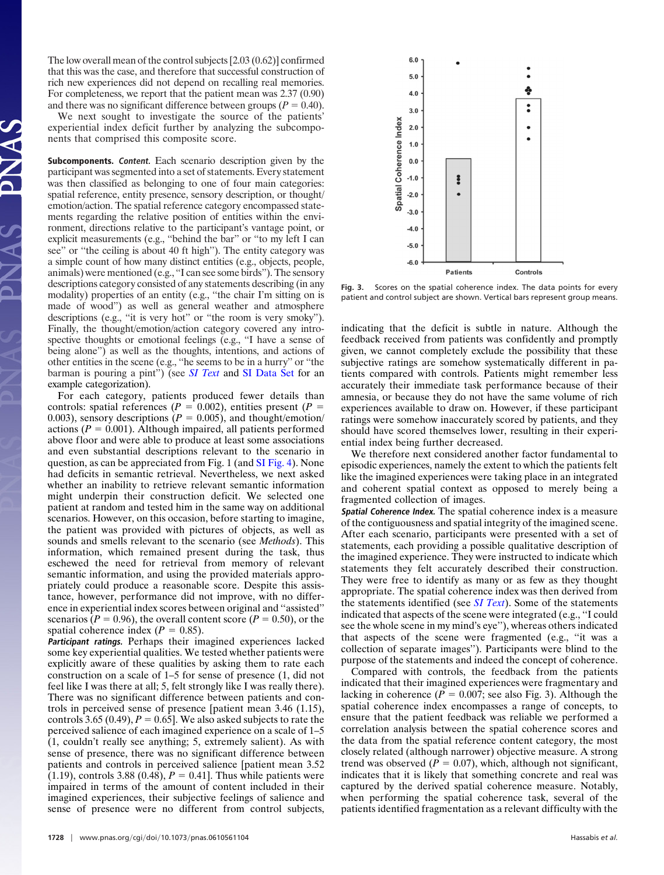The low overall mean of the control subjects [2.03 (0.62)] confirmed that this was the case, and therefore that successful construction of rich new experiences did not depend on recalling real memories. For completeness, we report that the patient mean was 2.37 (0.90) and there was no significant difference between groups ( $P = 0.40$ ).

We next sought to investigate the source of the patients' experiential index deficit further by analyzing the subcomponents that comprised this composite score.

**Subcomponents. Content.** Each scenario description given by the participant was segmented into a set of statements. Every statement was then classified as belonging to one of four main categories: spatial reference, entity presence, sensory description, or thought/ emotion/action. The spatial reference category encompassed statements regarding the relative position of entities within the environment, directions relative to the participant's vantage point, or explicit measurements (e.g., ''behind the bar'' or ''to my left I can see'' or ''the ceiling is about 40 ft high''). The entity category was a simple count of how many distinct entities (e.g., objects, people, animals) were mentioned (e.g., ''I can see some birds''). The sensory descriptions category consisted of any statements describing (in any modality) properties of an entity (e.g., ''the chair I'm sitting on is made of wood'') as well as general weather and atmosphere descriptions (e.g., ''it is very hot'' or ''the room is very smoky''). Finally, the thought/emotion/action category covered any introspective thoughts or emotional feelings (e.g., ''I have a sense of being alone'') as well as the thoughts, intentions, and actions of other entities in the scene (e.g., ''he seems to be in a hurry'' or ''the barman is pouring a pint'') (see *[SI Text](http://www.pnas.org/cgi/content/full/0610561104/DC1)* and [SI Data Set](http://www.pnas.org/cgi/content/full/0610561104/DC1) for an example categorization).

For each category, patients produced fewer details than controls: spatial references ( $P = 0.002$ ), entities present ( $P =$ 0.003), sensory descriptions ( $P = 0.005$ ), and thought/emotion/ actions ( $P = 0.001$ ). Although impaired, all patients performed above floor and were able to produce at least some associations and even substantial descriptions relevant to the scenario in question, as can be appreciated from Fig. 1 (and [SI Fig. 4\)](http://www.pnas.org/cgi/content/full/0610561104/DC1). None had deficits in semantic retrieval. Nevertheless, we next asked whether an inability to retrieve relevant semantic information might underpin their construction deficit. We selected one patient at random and tested him in the same way on additional scenarios. However, on this occasion, before starting to imagine, the patient was provided with pictures of objects, as well as sounds and smells relevant to the scenario (see *Methods*). This information, which remained present during the task, thus eschewed the need for retrieval from memory of relevant semantic information, and using the provided materials appropriately could produce a reasonable score. Despite this assistance, however, performance did not improve, with no difference in experiential index scores between original and ''assisted'' scenarios ( $P = 0.96$ ), the overall content score ( $P = 0.50$ ), or the spatial coherence index  $(P = 0.85)$ .

**Participant ratings.** Perhaps their imagined experiences lacked some key experiential qualities. We tested whether patients were explicitly aware of these qualities by asking them to rate each construction on a scale of 1–5 for sense of presence (1, did not feel like I was there at all; 5, felt strongly like I was really there). There was no significant difference between patients and controls in perceived sense of presence [patient mean 3.46 (1.15), controls 3.65 (0.49),  $P = 0.65$ . We also asked subjects to rate the perceived salience of each imagined experience on a scale of 1–5 (1, couldn't really see anything; 5, extremely salient). As with sense of presence, there was no significant difference between patients and controls in perceived salience [patient mean 3.52  $(1.19)$ , controls 3.88  $(0.48)$ ,  $P = 0.41$ ]. Thus while patients were impaired in terms of the amount of content included in their imagined experiences, their subjective feelings of salience and sense of presence were no different from control subjects,



**Fig. 3.** Scores on the spatial coherence index. The data points for every patient and control subject are shown. Vertical bars represent group means.

indicating that the deficit is subtle in nature. Although the feedback received from patients was confidently and promptly given, we cannot completely exclude the possibility that these subjective ratings are somehow systematically different in patients compared with controls. Patients might remember less accurately their immediate task performance because of their amnesia, or because they do not have the same volume of rich experiences available to draw on. However, if these participant ratings were somehow inaccurately scored by patients, and they should have scored themselves lower, resulting in their experiential index being further decreased.

We therefore next considered another factor fundamental to episodic experiences, namely the extent to which the patients felt like the imagined experiences were taking place in an integrated and coherent spatial context as opposed to merely being a fragmented collection of images.

**Spatial Coherence Index.** The spatial coherence index is a measure of the contiguousness and spatial integrity of the imagined scene. After each scenario, participants were presented with a set of statements, each providing a possible qualitative description of the imagined experience. They were instructed to indicate which statements they felt accurately described their construction. They were free to identify as many or as few as they thought appropriate. The spatial coherence index was then derived from the statements identified (see *[SI Text](http://www.pnas.org/cgi/content/full/0610561104/DC1)*). Some of the statements indicated that aspects of the scene were integrated (e.g., ''I could see the whole scene in my mind's eye''), whereas others indicated that aspects of the scene were fragmented (e.g., ''it was a collection of separate images''). Participants were blind to the purpose of the statements and indeed the concept of coherence.

Compared with controls, the feedback from the patients indicated that their imagined experiences were fragmentary and lacking in coherence ( $P = 0.007$ ; see also Fig. 3). Although the spatial coherence index encompasses a range of concepts, to ensure that the patient feedback was reliable we performed a correlation analysis between the spatial coherence scores and the data from the spatial reference content category, the most closely related (although narrower) objective measure. A strong trend was observed  $(P = 0.07)$ , which, although not significant, indicates that it is likely that something concrete and real was captured by the derived spatial coherence measure. Notably, when performing the spatial coherence task, several of the patients identified fragmentation as a relevant difficulty with the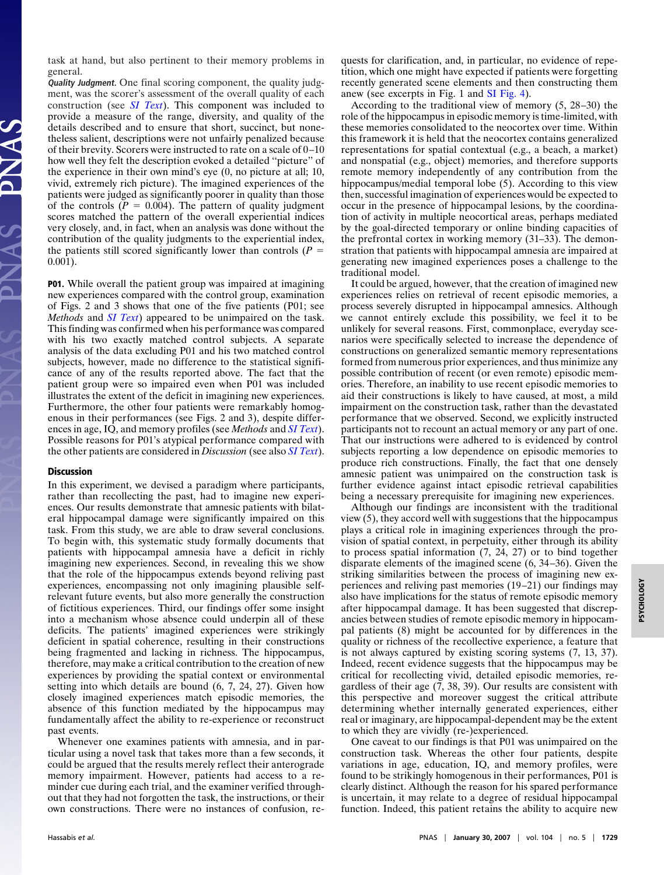task at hand, but also pertinent to their memory problems in general.

**Quality Judgment.** One final scoring component, the quality judgment, was the scorer's assessment of the overall quality of each construction (see *[SI Text](http://www.pnas.org/cgi/content/full/0610561104/DC1)*). This component was included to provide a measure of the range, diversity, and quality of the details described and to ensure that short, succinct, but nonetheless salient, descriptions were not unfairly penalized because of their brevity. Scorers were instructed to rate on a scale of 0–10 how well they felt the description evoked a detailed ''picture'' of the experience in their own mind's eye (0, no picture at all; 10, vivid, extremely rich picture). The imagined experiences of the patients were judged as significantly poorer in quality than those of the controls  $(P = 0.004)$ . The pattern of quality judgment scores matched the pattern of the overall experiential indices very closely, and, in fact, when an analysis was done without the contribution of the quality judgments to the experiential index, the patients still scored significantly lower than controls  $(P =$ 0.001).

**P01.** While overall the patient group was impaired at imagining new experiences compared with the control group, examination of Figs. 2 and 3 shows that one of the five patients (P01; see *Methods* and *[SI Text](http://www.pnas.org/cgi/content/full/0610561104/DC1)*) appeared to be unimpaired on the task. This finding was confirmed when his performance was compared with his two exactly matched control subjects. A separate analysis of the data excluding P01 and his two matched control subjects, however, made no difference to the statistical significance of any of the results reported above. The fact that the patient group were so impaired even when P01 was included illustrates the extent of the deficit in imagining new experiences. Furthermore, the other four patients were remarkably homogenous in their performances (see Figs. 2 and 3), despite differences in age, IQ, and memory profiles (see *Methods* and *[SI Text](http://www.pnas.org/cgi/content/full/0610561104/DC1)*). Possible reasons for P01's atypical performance compared with the other patients are considered in *Discussion* (see also *[SI Text](http://www.pnas.org/cgi/content/full/0610561104/DC1)*).

## **Discussion**

In this experiment, we devised a paradigm where participants, rather than recollecting the past, had to imagine new experiences. Our results demonstrate that amnesic patients with bilateral hippocampal damage were significantly impaired on this task. From this study, we are able to draw several conclusions. To begin with, this systematic study formally documents that patients with hippocampal amnesia have a deficit in richly imagining new experiences. Second, in revealing this we show that the role of the hippocampus extends beyond reliving past experiences, encompassing not only imagining plausible selfrelevant future events, but also more generally the construction of fictitious experiences. Third, our findings offer some insight into a mechanism whose absence could underpin all of these deficits. The patients' imagined experiences were strikingly deficient in spatial coherence, resulting in their constructions being fragmented and lacking in richness. The hippocampus, therefore, may make a critical contribution to the creation of new experiences by providing the spatial context or environmental setting into which details are bound (6, 7, 24, 27). Given how closely imagined experiences match episodic memories, the absence of this function mediated by the hippocampus may fundamentally affect the ability to re-experience or reconstruct past events.

Whenever one examines patients with amnesia, and in particular using a novel task that takes more than a few seconds, it could be argued that the results merely reflect their anterograde memory impairment. However, patients had access to a reminder cue during each trial, and the examiner verified throughout that they had not forgotten the task, the instructions, or their own constructions. There were no instances of confusion, requests for clarification, and, in particular, no evidence of repetition, which one might have expected if patients were forgetting recently generated scene elements and then constructing them anew (see excerpts in Fig. 1 and [SI Fig. 4\)](http://www.pnas.org/cgi/content/full/0610561104/DC1).

According to the traditional view of memory (5, 28–30) the role of the hippocampus in episodic memory is time-limited, with these memories consolidated to the neocortex over time. Within this framework it is held that the neocortex contains generalized representations for spatial contextual (e.g., a beach, a market) and nonspatial (e.g., object) memories, and therefore supports remote memory independently of any contribution from the hippocampus/medial temporal lobe (5). According to this view then, successful imagination of experiences would be expected to occur in the presence of hippocampal lesions, by the coordination of activity in multiple neocortical areas, perhaps mediated by the goal-directed temporary or online binding capacities of the prefrontal cortex in working memory (31–33). The demonstration that patients with hippocampal amnesia are impaired at generating new imagined experiences poses a challenge to the traditional model.

It could be argued, however, that the creation of imagined new experiences relies on retrieval of recent episodic memories, a process severely disrupted in hippocampal amnesics. Although we cannot entirely exclude this possibility, we feel it to be unlikely for several reasons. First, commonplace, everyday scenarios were specifically selected to increase the dependence of constructions on generalized semantic memory representations formed from numerous prior experiences, and thus minimize any possible contribution of recent (or even remote) episodic memories. Therefore, an inability to use recent episodic memories to aid their constructions is likely to have caused, at most, a mild impairment on the construction task, rather than the devastated performance that we observed. Second, we explicitly instructed participants not to recount an actual memory or any part of one. That our instructions were adhered to is evidenced by control subjects reporting a low dependence on episodic memories to produce rich constructions. Finally, the fact that one densely amnesic patient was unimpaired on the construction task is further evidence against intact episodic retrieval capabilities being a necessary prerequisite for imagining new experiences.

Although our findings are inconsistent with the traditional view (5), they accord well with suggestions that the hippocampus plays a critical role in imagining experiences through the provision of spatial context, in perpetuity, either through its ability to process spatial information (7, 24, 27) or to bind together disparate elements of the imagined scene (6, 34–36). Given the striking similarities between the process of imagining new experiences and reliving past memories (19–21) our findings may also have implications for the status of remote episodic memory after hippocampal damage. It has been suggested that discrepancies between studies of remote episodic memory in hippocampal patients (8) might be accounted for by differences in the quality or richness of the recollective experience, a feature that is not always captured by existing scoring systems (7, 13, 37). Indeed, recent evidence suggests that the hippocampus may be critical for recollecting vivid, detailed episodic memories, regardless of their age  $(7, 38, 39)$ . Our results are consistent with this perspective and moreover suggest the critical attribute determining whether internally generated experiences, either real or imaginary, are hippocampal-dependent may be the extent to which they are vividly (re-)experienced.

One caveat to our findings is that P01 was unimpaired on the construction task. Whereas the other four patients, despite variations in age, education, IQ, and memory profiles, were found to be strikingly homogenous in their performances, P01 is clearly distinct. Although the reason for his spared performance is uncertain, it may relate to a degree of residual hippocampal function. Indeed, this patient retains the ability to acquire new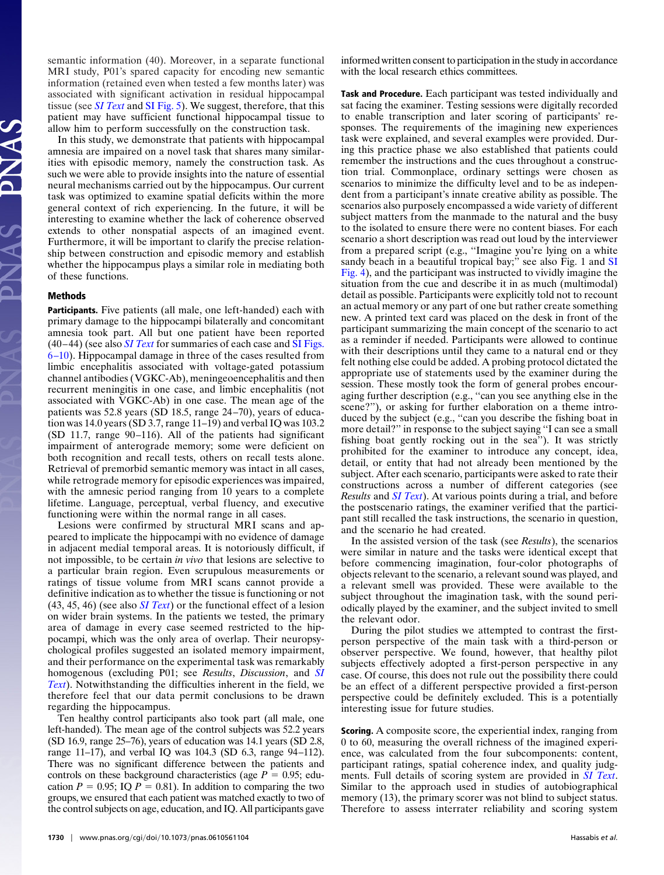semantic information (40). Moreover, in a separate functional MRI study, P01's spared capacity for encoding new semantic information (retained even when tested a few months later) was associated with significant activation in residual hippocampal tissue (see *[SI Text](http://www.pnas.org/cgi/content/full/0610561104/DC1)* and [SI Fig. 5\)](http://www.pnas.org/cgi/content/full/0610561104/DC1). We suggest, therefore, that this patient may have sufficient functional hippocampal tissue to allow him to perform successfully on the construction task.

In this study, we demonstrate that patients with hippocampal amnesia are impaired on a novel task that shares many similarities with episodic memory, namely the construction task. As such we were able to provide insights into the nature of essential neural mechanisms carried out by the hippocampus. Our current task was optimized to examine spatial deficits within the more general context of rich experiencing. In the future, it will be interesting to examine whether the lack of coherence observed extends to other nonspatial aspects of an imagined event. Furthermore, it will be important to clarify the precise relationship between construction and episodic memory and establish whether the hippocampus plays a similar role in mediating both of these functions.

## **Methods**

**Participants.** Five patients (all male, one left-handed) each with primary damage to the hippocampi bilaterally and concomitant amnesia took part. All but one patient have been reported (40–44) (see also *[SI Text](http://www.pnas.org/cgi/content/full/0610561104/DC1)* for summaries of each case and [SI Figs.](http://www.pnas.org/cgi/content/full/0610561104/DC1) [6–10\)](http://www.pnas.org/cgi/content/full/0610561104/DC1). Hippocampal damage in three of the cases resulted from limbic encephalitis associated with voltage-gated potassium channel antibodies (VGKC-Ab), meningeoencephalitis and then recurrent meningitis in one case, and limbic encephalitis (not associated with VGKC-Ab) in one case. The mean age of the patients was 52.8 years (SD 18.5, range 24–70), years of education was 14.0 years (SD 3.7, range 11–19) and verbal IQ was 103.2 (SD 11.7, range 90–116). All of the patients had significant impairment of anterograde memory; some were deficient on both recognition and recall tests, others on recall tests alone. Retrieval of premorbid semantic memory was intact in all cases, while retrograde memory for episodic experiences was impaired, with the amnesic period ranging from 10 years to a complete lifetime. Language, perceptual, verbal fluency, and executive functioning were within the normal range in all cases.

Lesions were confirmed by structural MRI scans and appeared to implicate the hippocampi with no evidence of damage in adjacent medial temporal areas. It is notoriously difficult, if not impossible, to be certain *in vivo* that lesions are selective to a particular brain region. Even scrupulous measurements or ratings of tissue volume from MRI scans cannot provide a definitive indication as to whether the tissue is functioning or not (43, 45, 46) (see also *[SI Text](http://www.pnas.org/cgi/content/full/0610561104/DC1)*) or the functional effect of a lesion on wider brain systems. In the patients we tested, the primary area of damage in every case seemed restricted to the hippocampi, which was the only area of overlap. Their neuropsychological profiles suggested an isolated memory impairment, and their performance on the experimental task was remarkably homogenous (excluding P01; see *Results*, *Discussion*, and *[SI](http://www.pnas.org/cgi/content/full/0610561104/DC1) [Text](http://www.pnas.org/cgi/content/full/0610561104/DC1)*). Notwithstanding the difficulties inherent in the field, we therefore feel that our data permit conclusions to be drawn regarding the hippocampus.

Ten healthy control participants also took part (all male, one left-handed). The mean age of the control subjects was 52.2 years (SD 16.9, range 25–76), years of education was 14.1 years (SD 2.8, range 11–17), and verbal IQ was 104.3 (SD 6.3, range 94–112). There was no significant difference between the patients and controls on these background characteristics (age  $P = 0.95$ ; education  $P = 0.95$ ; IQ  $P = 0.81$ ). In addition to comparing the two groups, we ensured that each patient was matched exactly to two of the control subjects on age, education, and IQ. All participants gave

informed written consent to participation in the study in accordance with the local research ethics committees.

**Task and Procedure.** Each participant was tested individually and sat facing the examiner. Testing sessions were digitally recorded to enable transcription and later scoring of participants' responses. The requirements of the imagining new experiences task were explained, and several examples were provided. During this practice phase we also established that patients could remember the instructions and the cues throughout a construction trial. Commonplace, ordinary settings were chosen as scenarios to minimize the difficulty level and to be as independent from a participant's innate creative ability as possible. The scenarios also purposely encompassed a wide variety of different subject matters from the manmade to the natural and the busy to the isolated to ensure there were no content biases. For each scenario a short description was read out loud by the interviewer from a prepared script (e.g., ''Imagine you're lying on a white sandy beach in a beautiful tropical bay;" see also Fig. 1 and [SI](http://www.pnas.org/cgi/content/full/0610561104/DC1) [Fig. 4\)](http://www.pnas.org/cgi/content/full/0610561104/DC1), and the participant was instructed to vividly imagine the situation from the cue and describe it in as much (multimodal) detail as possible. Participants were explicitly told not to recount an actual memory or any part of one but rather create something new. A printed text card was placed on the desk in front of the participant summarizing the main concept of the scenario to act as a reminder if needed. Participants were allowed to continue with their descriptions until they came to a natural end or they felt nothing else could be added. A probing protocol dictated the appropriate use of statements used by the examiner during the session. These mostly took the form of general probes encouraging further description (e.g., ''can you see anything else in the scene?''), or asking for further elaboration on a theme introduced by the subject (e.g., ''can you describe the fishing boat in more detail?'' in response to the subject saying ''I can see a small fishing boat gently rocking out in the sea''). It was strictly prohibited for the examiner to introduce any concept, idea, detail, or entity that had not already been mentioned by the subject. After each scenario, participants were asked to rate their constructions across a number of different categories (see *Results* and *[SI Text](http://www.pnas.org/cgi/content/full/0610561104/DC1)*). At various points during a trial, and before the postscenario ratings, the examiner verified that the participant still recalled the task instructions, the scenario in question, and the scenario he had created.

In the assisted version of the task (see *Results*), the scenarios were similar in nature and the tasks were identical except that before commencing imagination, four-color photographs of objects relevant to the scenario, a relevant sound was played, and a relevant smell was provided. These were available to the subject throughout the imagination task, with the sound periodically played by the examiner, and the subject invited to smell the relevant odor.

During the pilot studies we attempted to contrast the firstperson perspective of the main task with a third-person or observer perspective. We found, however, that healthy pilot subjects effectively adopted a first-person perspective in any case. Of course, this does not rule out the possibility there could be an effect of a different perspective provided a first-person perspective could be definitely excluded. This is a potentially interesting issue for future studies.

**Scoring.** A composite score, the experiential index, ranging from 0 to 60, measuring the overall richness of the imagined experience, was calculated from the four subcomponents: content, participant ratings, spatial coherence index, and quality judgments. Full details of scoring system are provided in *[SI Text](http://www.pnas.org/cgi/content/full/0610561104/DC1)*. Similar to the approach used in studies of autobiographical memory  $(13)$ , the primary scorer was not blind to subject status. Therefore to assess interrater reliability and scoring system